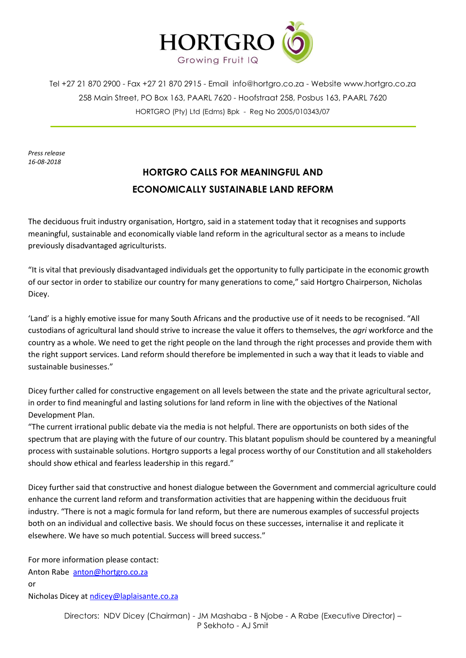

Tel +27 21 870 2900 - Fax +27 21 870 2915 - Email [info@hortgro.co.za](mailto:info@hortgro.co.za) - Website www.hortgro.co.za 258 Main Street, PO Box 163, PAARL 7620 - Hoofstraat 258, Posbus 163, PAARL 7620 HORTGRO (Pty) Ltd (Edms) Bpk - Reg No 2005/010343/07

*Press release 16-08-2018*

## **HORTGRO CALLS FOR MEANINGFUL AND ECONOMICALLY SUSTAINABLE LAND REFORM**

The deciduous fruit industry organisation, Hortgro, said in a statement today that it recognises and supports meaningful, sustainable and economically viable land reform in the agricultural sector as a means to include previously disadvantaged agriculturists.

"It is vital that previously disadvantaged individuals get the opportunity to fully participate in the economic growth of our sector in order to stabilize our country for many generations to come," said Hortgro Chairperson, Nicholas Dicey.

'Land' is a highly emotive issue for many South Africans and the productive use of it needs to be recognised. "All custodians of agricultural land should strive to increase the value it offers to themselves, the *agri* workforce and the country as a whole. We need to get the right people on the land through the right processes and provide them with the right support services. Land reform should therefore be implemented in such a way that it leads to viable and sustainable businesses."

Dicey further called for constructive engagement on all levels between the state and the private agricultural sector, in order to find meaningful and lasting solutions for land reform in line with the objectives of the National Development Plan.

"The current irrational public debate via the media is not helpful. There are opportunists on both sides of the spectrum that are playing with the future of our country. This blatant populism should be countered by a meaningful process with sustainable solutions. Hortgro supports a legal process worthy of our Constitution and all stakeholders should show ethical and fearless leadership in this regard."

Dicey further said that constructive and honest dialogue between the Government and commercial agriculture could enhance the current land reform and transformation activities that are happening within the deciduous fruit industry. "There is not a magic formula for land reform, but there are numerous examples of successful projects both on an individual and collective basis. We should focus on these successes, internalise it and replicate it elsewhere. We have so much potential. Success will breed success."

For more information please contact: Anton Rabe [anton@hortgro.co.za](mailto:anton@hortgro.co.za) or Nicholas Dicey at [ndicey@laplaisante.co.za](mailto:ndicey@laplaisante.co.za)